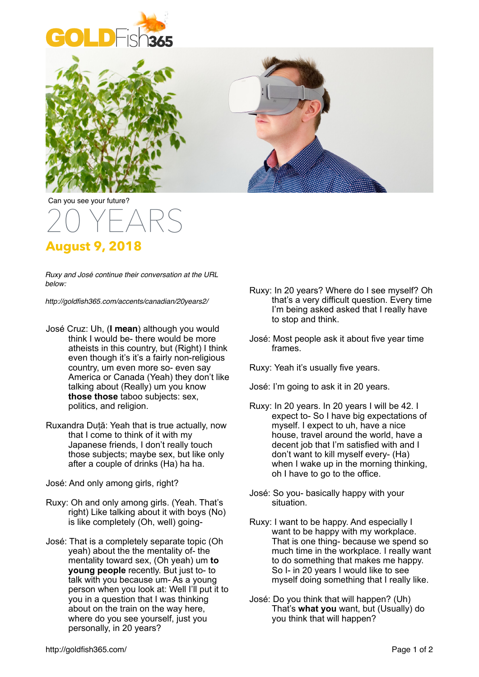





Can you see your future?

## 20 YEARS

## **August 9, 2018**

*Ruxy and José continue their conversation at the URL below:*

*http://goldfish365.com/accents/canadian/20years2/*

- José Cruz: Uh, (**I mean**) although you would think I would be- there would be more atheists in this country, but (Right) I think even though it's it's a fairly non-religious country, um even more so- even say America or Canada (Yeah) they don't like talking about (Really) um you know **those those** taboo subjects: sex, politics, and religion.
- Ruxandra Duță: Yeah that is true actually, now that I come to think of it with my Japanese friends, I don't really touch those subjects; maybe sex, but like only after a couple of drinks (Ha) ha ha.
- José: And only among girls, right?
- Ruxy: Oh and only among girls. (Yeah. That's right) Like talking about it with boys (No) is like completely (Oh, well) going-
- José: That is a completely separate topic (Oh yeah) about the the mentality of- the mentality toward sex, (Oh yeah) um **to young people** recently. But just to- to talk with you because um- As a young person when you look at: Well I'll put it to you in a question that I was thinking about on the train on the way here, where do you see yourself, just you personally, in 20 years?
- Ruxy: In 20 years? Where do I see myself? Oh that's a very difficult question. Every time I'm being asked asked that I really have to stop and think.
- José: Most people ask it about five year time frames.
- Ruxy: Yeah it's usually five years.
- José: I'm going to ask it in 20 years.
- Ruxy: In 20 years. In 20 years I will be 42. I expect to- So I have big expectations of myself. I expect to uh, have a nice house, travel around the world, have a decent job that I'm satisfied with and I don't want to kill myself every- (Ha) when I wake up in the morning thinking, oh I have to go to the office.
- José: So you- basically happy with your situation.
- Ruxy: I want to be happy. And especially I want to be happy with my workplace. That is one thing- because we spend so much time in the workplace. I really want to do something that makes me happy. So I- in 20 years I would like to see myself doing something that I really like.
- José: Do you think that will happen? (Uh) That's **what you** want, but (Usually) do you think that will happen?